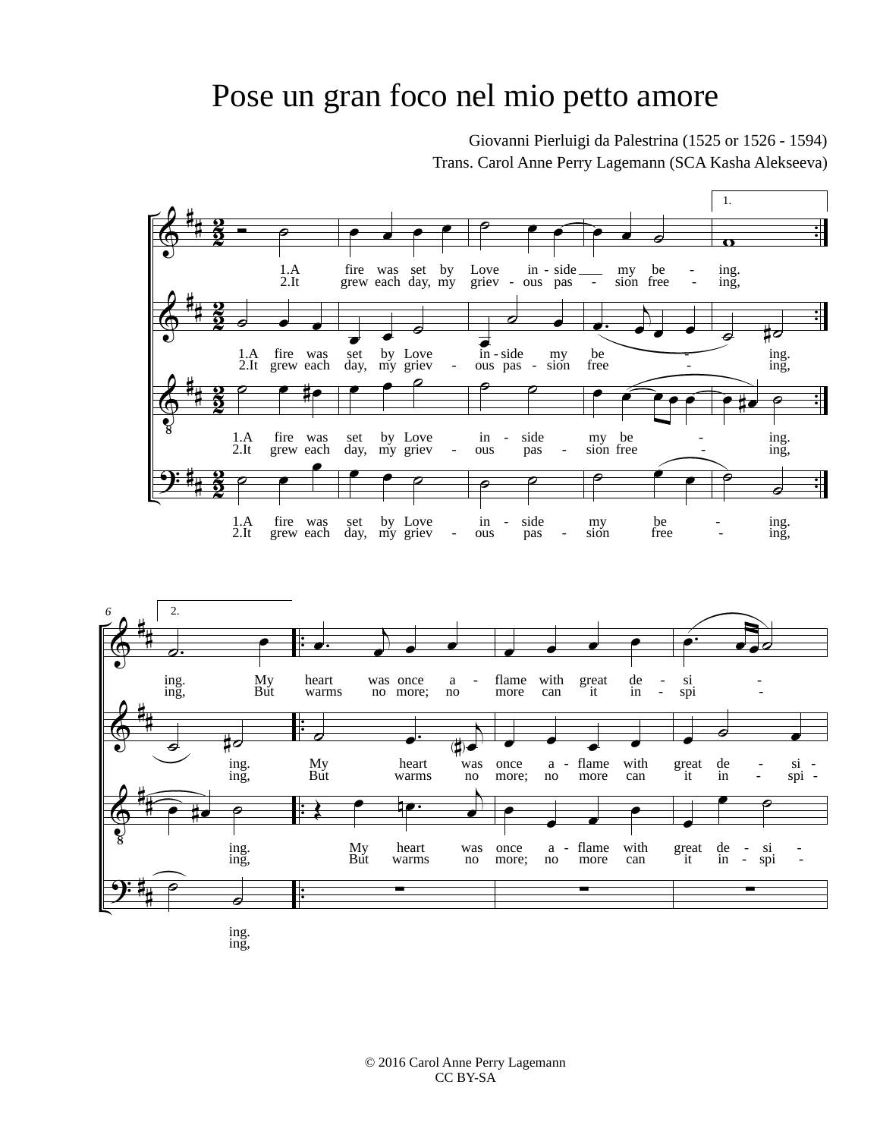## Pose un gran foco nel mio petto amore

Giovanni Pierluigi da Palestrina (1525 or 1526 - 1594) Trans. Carol Anne Perry Lagemann (SCA Kasha Alekseeva)



ing. ing,